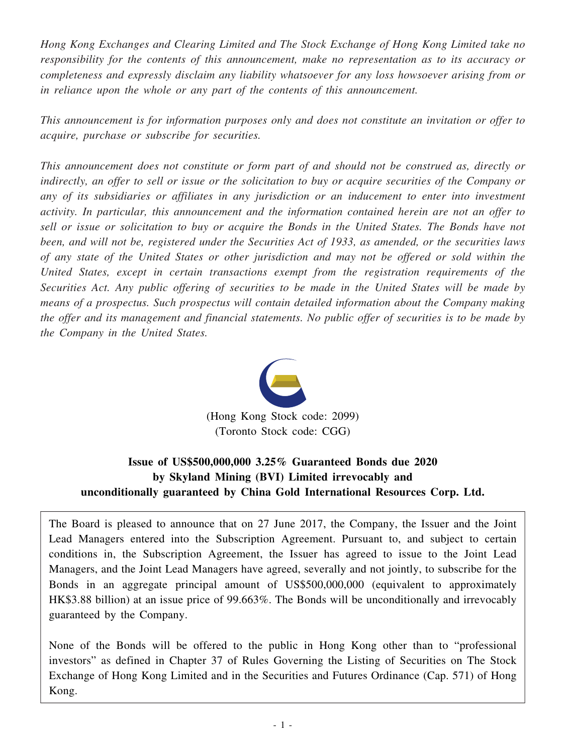*Hong Kong Exchanges and Clearing Limited and The Stock Exchange of Hong Kong Limited take no responsibility for the contents of this announcement, make no representation as to its accuracy or completeness and expressly disclaim any liability whatsoever for any loss howsoever arising from or in reliance upon the whole or any part of the contents of this announcement.*

*This announcement is for information purposes only and does not constitute an invitation or offer to acquire, purchase or subscribe for securities.*

*This announcement does not constitute or form part of and should not be construed as, directly or* indirectly, an offer to sell or issue or the solicitation to buy or acquire securities of the Company or *any of its subsidiaries or affiliates in any jurisdiction or an inducement to enter into investment activity. In particular, this announcement and the information contained herein are not an offer to* sell or issue or solicitation to buy or acquire the Bonds in the United States. The Bonds have not been, and will not be, registered under the Securities Act of 1933, as amended, or the securities laws of any state of the United States or other jurisdiction and may not be offered or sold within the *United States, except in certain transactions exempt from the registration requirements of the Securities Act. Any public offering of securities to be made in the United States will be made by means of a prospectus. Such prospectus will contain detailed information about the Company making* the offer and its management and financial statements. No public offer of securities is to be made by *the Company in the United States.*



(Hong Kong Stock code: 2099) (Toronto Stock code: CGG)

## **Issue of US\$500,000,000 3.25% Guaranteed Bonds due 2020 by Skyland Mining (BVI) Limited irrevocably and unconditionally guaranteed by China Gold International Resources Corp. Ltd.**

The Board is pleased to announce that on 27 June 2017, the Company, the Issuer and the Joint Lead Managers entered into the Subscription Agreement. Pursuant to, and subject to certain conditions in, the Subscription Agreement, the Issuer has agreed to issue to the Joint Lead Managers, and the Joint Lead Managers have agreed, severally and not jointly, to subscribe for the Bonds in an aggregate principal amount of US\$500,000,000 (equivalent to approximately HK\$3.88 billion) at an issue price of 99.663%. The Bonds will be unconditionally and irrevocably guaranteed by the Company.

None of the Bonds will be offered to the public in Hong Kong other than to "professional investors" as defined in Chapter 37 of Rules Governing the Listing of Securities on The Stock Exchange of Hong Kong Limited and in the Securities and Futures Ordinance (Cap. 571) of Hong Kong.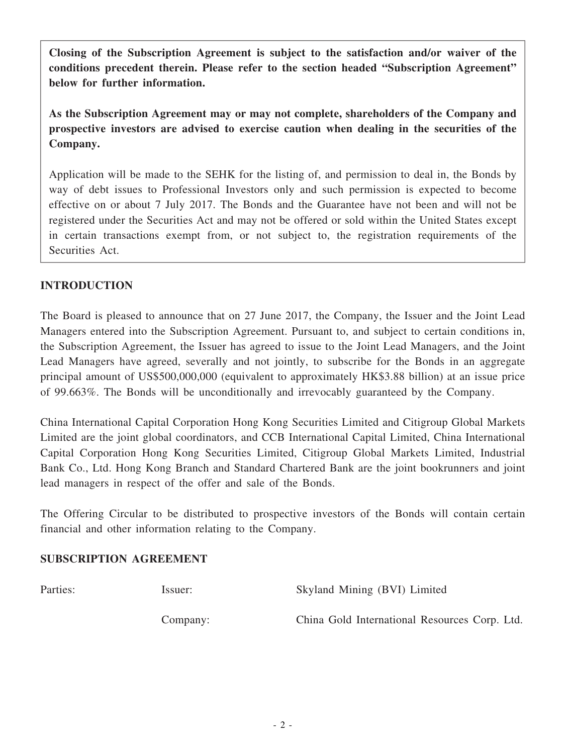**Closing of the Subscription Agreement is subject to the satisfaction and/or waiver of the conditions precedent therein. Please refer to the section headed "Subscription Agreement" below for further information.**

**As the Subscription Agreement may or may not complete, shareholders of the Company and prospective investors are advised to exercise caution when dealing in the securities of the Company.**

Application will be made to the SEHK for the listing of, and permission to deal in, the Bonds by way of debt issues to Professional Investors only and such permission is expected to become effective on or about 7 July 2017. The Bonds and the Guarantee have not been and will not be registered under the Securities Act and may not be offered or sold within the United States except in certain transactions exempt from, or not subject to, the registration requirements of the Securities Act.

### **INTRODUCTION**

The Board is pleased to announce that on 27 June 2017, the Company, the Issuer and the Joint Lead Managers entered into the Subscription Agreement. Pursuant to, and subject to certain conditions in, the Subscription Agreement, the Issuer has agreed to issue to the Joint Lead Managers, and the Joint Lead Managers have agreed, severally and not jointly, to subscribe for the Bonds in an aggregate principal amount of US\$500,000,000 (equivalent to approximately HK\$3.88 billion) at an issue price of 99.663%. The Bonds will be unconditionally and irrevocably guaranteed by the Company.

China International Capital Corporation Hong Kong Securities Limited and Citigroup Global Markets Limited are the joint global coordinators, and CCB International Capital Limited, China International Capital Corporation Hong Kong Securities Limited, Citigroup Global Markets Limited, Industrial Bank Co., Ltd. Hong Kong Branch and Standard Chartered Bank are the joint bookrunners and joint lead managers in respect of the offer and sale of the Bonds.

The Offering Circular to be distributed to prospective investors of the Bonds will contain certain financial and other information relating to the Company.

### **SUBSCRIPTION AGREEMENT**

| Parties: | Issuer:  | Skyland Mining (BVI) Limited                  |
|----------|----------|-----------------------------------------------|
|          | Company: | China Gold International Resources Corp. Ltd. |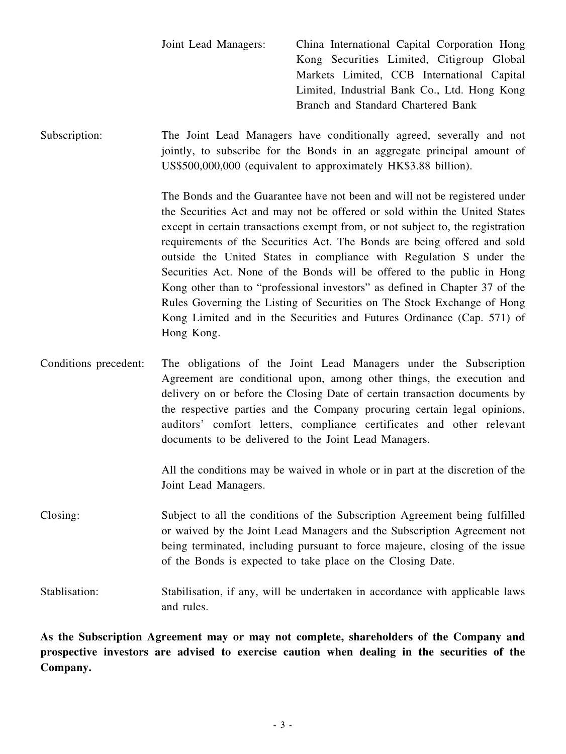| Joint Lead Managers: | China International Capital Corporation Hong |
|----------------------|----------------------------------------------|
|                      | Kong Securities Limited, Citigroup Global    |
|                      | Markets Limited, CCB International Capital   |
|                      | Limited, Industrial Bank Co., Ltd. Hong Kong |
|                      | Branch and Standard Chartered Bank           |

Subscription: The Joint Lead Managers have conditionally agreed, severally and not jointly, to subscribe for the Bonds in an aggregate principal amount of US\$500,000,000 (equivalent to approximately HK\$3.88 billion).

> The Bonds and the Guarantee have not been and will not be registered under the Securities Act and may not be offered or sold within the United States except in certain transactions exempt from, or not subject to, the registration requirements of the Securities Act. The Bonds are being offered and sold outside the United States in compliance with Regulation S under the Securities Act. None of the Bonds will be offered to the public in Hong Kong other than to "professional investors" as defined in Chapter 37 of the Rules Governing the Listing of Securities on The Stock Exchange of Hong Kong Limited and in the Securities and Futures Ordinance (Cap. 571) of Hong Kong.

Conditions precedent: The obligations of the Joint Lead Managers under the Subscription Agreement are conditional upon, among other things, the execution and delivery on or before the Closing Date of certain transaction documents by the respective parties and the Company procuring certain legal opinions, auditors' comfort letters, compliance certificates and other relevant documents to be delivered to the Joint Lead Managers.

> All the conditions may be waived in whole or in part at the discretion of the Joint Lead Managers.

Closing: Subject to all the conditions of the Subscription Agreement being fulfilled or waived by the Joint Lead Managers and the Subscription Agreement not being terminated, including pursuant to force majeure, closing of the issue of the Bonds is expected to take place on the Closing Date.

Stablisation: Stabilisation, if any, will be undertaken in accordance with applicable laws and rules.

**As the Subscription Agreement may or may not complete, shareholders of the Company and prospective investors are advised to exercise caution when dealing in the securities of the Company.**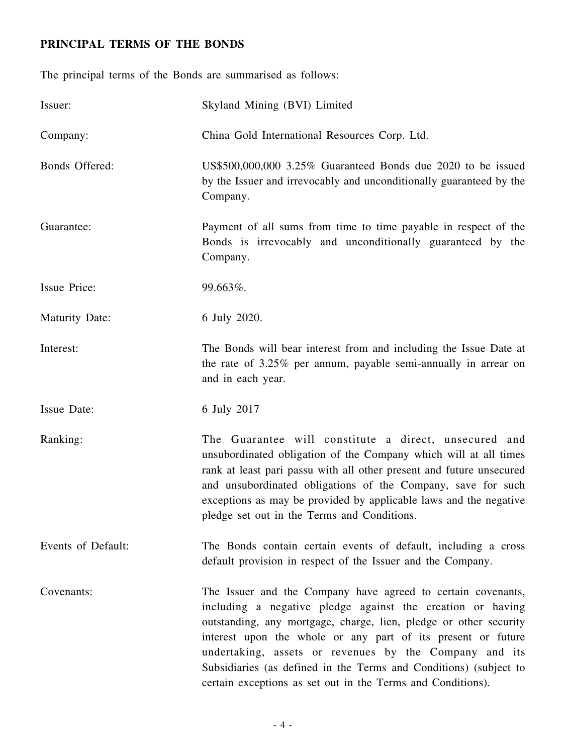# **PRINCIPAL TERMS OF THE BONDS**

The principal terms of the Bonds are summarised as follows:

| Issuer:               | Skyland Mining (BVI) Limited                                                                                                                                                                                                                                                                                                                                                                                                                                  |
|-----------------------|---------------------------------------------------------------------------------------------------------------------------------------------------------------------------------------------------------------------------------------------------------------------------------------------------------------------------------------------------------------------------------------------------------------------------------------------------------------|
| Company:              | China Gold International Resources Corp. Ltd.                                                                                                                                                                                                                                                                                                                                                                                                                 |
| Bonds Offered:        | US\$500,000,000 3.25% Guaranteed Bonds due 2020 to be issued<br>by the Issuer and irrevocably and unconditionally guaranteed by the<br>Company.                                                                                                                                                                                                                                                                                                               |
| Guarantee:            | Payment of all sums from time to time payable in respect of the<br>Bonds is irrevocably and unconditionally guaranteed by the<br>Company.                                                                                                                                                                                                                                                                                                                     |
| <b>Issue Price:</b>   | 99.663%.                                                                                                                                                                                                                                                                                                                                                                                                                                                      |
| <b>Maturity Date:</b> | 6 July 2020.                                                                                                                                                                                                                                                                                                                                                                                                                                                  |
| Interest:             | The Bonds will bear interest from and including the Issue Date at<br>the rate of 3.25% per annum, payable semi-annually in arrear on<br>and in each year.                                                                                                                                                                                                                                                                                                     |
| Issue Date:           | 6 July 2017                                                                                                                                                                                                                                                                                                                                                                                                                                                   |
| Ranking:              | The Guarantee will constitute a direct, unsecured and<br>unsubordinated obligation of the Company which will at all times<br>rank at least pari passu with all other present and future unsecured<br>and unsubordinated obligations of the Company, save for such<br>exceptions as may be provided by applicable laws and the negative<br>pledge set out in the Terms and Conditions.                                                                         |
| Events of Default:    | The Bonds contain certain events of default, including a cross<br>default provision in respect of the Issuer and the Company.                                                                                                                                                                                                                                                                                                                                 |
| Covenants:            | The Issuer and the Company have agreed to certain covenants,<br>including a negative pledge against the creation or having<br>outstanding, any mortgage, charge, lien, pledge or other security<br>interest upon the whole or any part of its present or future<br>undertaking, assets or revenues by the Company and its<br>Subsidiaries (as defined in the Terms and Conditions) (subject to<br>certain exceptions as set out in the Terms and Conditions). |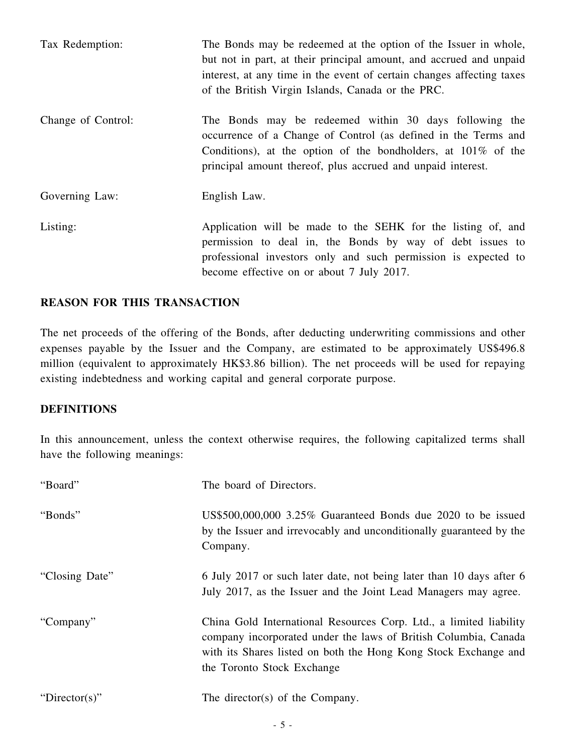| Tax Redemption:    | The Bonds may be redeemed at the option of the Issuer in whole,<br>but not in part, at their principal amount, and accrued and unpaid<br>interest, at any time in the event of certain changes affecting taxes<br>of the British Virgin Islands, Canada or the PRC. |
|--------------------|---------------------------------------------------------------------------------------------------------------------------------------------------------------------------------------------------------------------------------------------------------------------|
| Change of Control: | The Bonds may be redeemed within 30 days following the<br>occurrence of a Change of Control (as defined in the Terms and<br>Conditions), at the option of the bondholders, at $101\%$ of the<br>principal amount thereof, plus accrued and unpaid interest.         |
| Governing Law:     | English Law.                                                                                                                                                                                                                                                        |
| Listing:           | Application will be made to the SEHK for the listing of, and<br>permission to deal in, the Bonds by way of debt issues to<br>professional investors only and such permission is expected to<br>become effective on or about 7 July 2017.                            |

#### **REASON FOR THIS TRANSACTION**

The net proceeds of the offering of the Bonds, after deducting underwriting commissions and other expenses payable by the Issuer and the Company, are estimated to be approximately US\$496.8 million (equivalent to approximately HK\$3.86 billion). The net proceeds will be used for repaying existing indebtedness and working capital and general corporate purpose.

#### **DEFINITIONS**

In this announcement, unless the context otherwise requires, the following capitalized terms shall have the following meanings:

| "Board"        | The board of Directors.                                                                                                                                                                                                                |
|----------------|----------------------------------------------------------------------------------------------------------------------------------------------------------------------------------------------------------------------------------------|
| "Bonds"        | US\$500,000,000 3.25% Guaranteed Bonds due 2020 to be issued<br>by the Issuer and irrevocably and unconditionally guaranteed by the<br>Company.                                                                                        |
| "Closing Date" | 6 July 2017 or such later date, not being later than 10 days after 6<br>July 2017, as the Issuer and the Joint Lead Managers may agree.                                                                                                |
| "Company"      | China Gold International Resources Corp. Ltd., a limited liability<br>company incorporated under the laws of British Columbia, Canada<br>with its Shares listed on both the Hong Kong Stock Exchange and<br>the Toronto Stock Exchange |
| "Director(s)"  | The director(s) of the Company.                                                                                                                                                                                                        |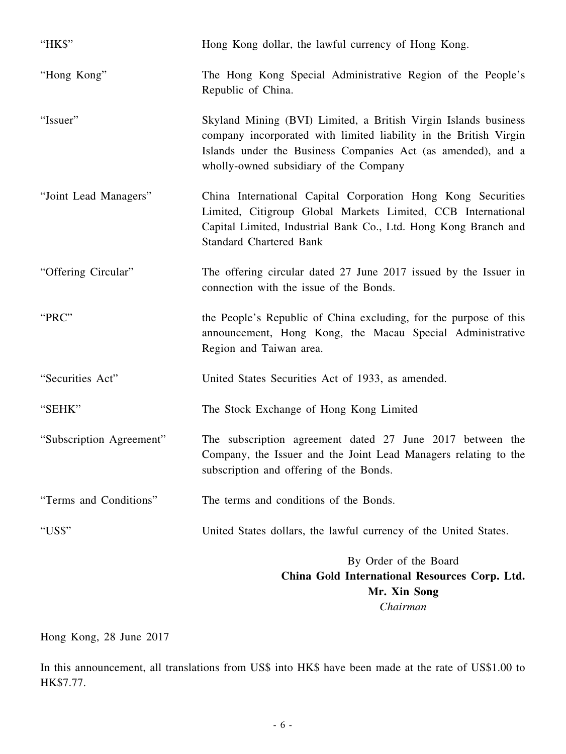| "HK\$"                   | Hong Kong dollar, the lawful currency of Hong Kong.                                                                                                                                                                                            |
|--------------------------|------------------------------------------------------------------------------------------------------------------------------------------------------------------------------------------------------------------------------------------------|
| "Hong Kong"              | The Hong Kong Special Administrative Region of the People's<br>Republic of China.                                                                                                                                                              |
| "Issuer"                 | Skyland Mining (BVI) Limited, a British Virgin Islands business<br>company incorporated with limited liability in the British Virgin<br>Islands under the Business Companies Act (as amended), and a<br>wholly-owned subsidiary of the Company |
| "Joint Lead Managers"    | China International Capital Corporation Hong Kong Securities<br>Limited, Citigroup Global Markets Limited, CCB International<br>Capital Limited, Industrial Bank Co., Ltd. Hong Kong Branch and<br><b>Standard Chartered Bank</b>              |
| "Offering Circular"      | The offering circular dated 27 June 2017 issued by the Issuer in<br>connection with the issue of the Bonds.                                                                                                                                    |
| "PRC"                    | the People's Republic of China excluding, for the purpose of this<br>announcement, Hong Kong, the Macau Special Administrative<br>Region and Taiwan area.                                                                                      |
| "Securities Act"         | United States Securities Act of 1933, as amended.                                                                                                                                                                                              |
| "SEHK"                   | The Stock Exchange of Hong Kong Limited                                                                                                                                                                                                        |
| "Subscription Agreement" | The subscription agreement dated 27 June 2017 between the<br>Company, the Issuer and the Joint Lead Managers relating to the<br>subscription and offering of the Bonds.                                                                        |
| "Terms and Conditions"   | The terms and conditions of the Bonds.                                                                                                                                                                                                         |
| "US\$"                   | United States dollars, the lawful currency of the United States.                                                                                                                                                                               |
|                          | By Order of the Board<br>China Gold International Resources Corp. Ltd.<br>Mr. Xin Song<br>Chairman                                                                                                                                             |

Hong Kong, 28 June 2017

In this announcement, all translations from US\$ into HK\$ have been made at the rate of US\$1.00 to HK\$7.77.